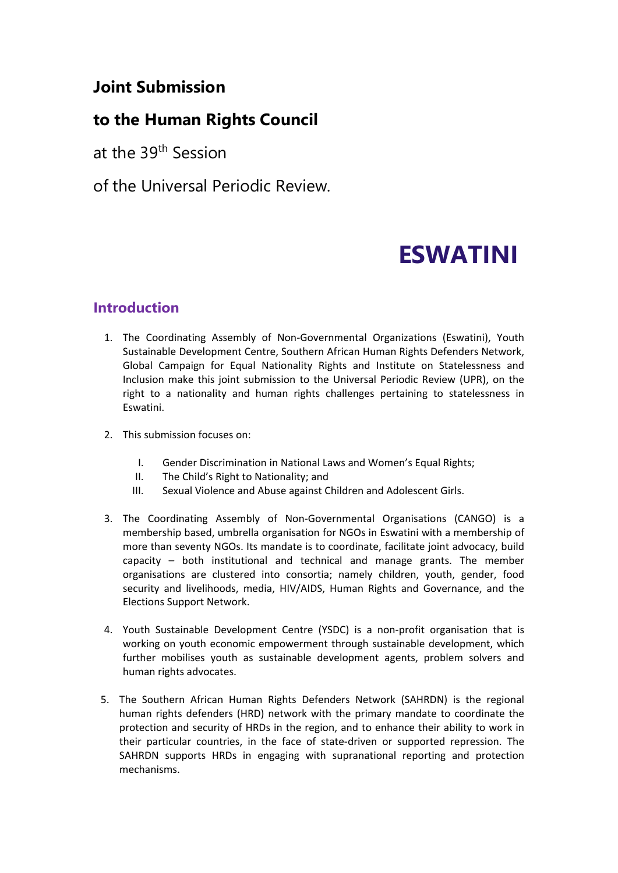# **Joint Submission**

# **to the Human Rights Council**

at the 39<sup>th</sup> Session

of the Universal Periodic Review.

# **ESWATINI**

# **Introduction**

- 1. The Coordinating Assembly of Non-Governmental Organizations (Eswatini), Youth Sustainable Development Centre, Southern African Human Rights Defenders Network, Global Campaign for Equal Nationality Rights and Institute on Statelessness and Inclusion make this joint submission to the Universal Periodic Review (UPR), on the right to <sup>a</sup> nationality and human rights challenges pertaining to statelessness in Eswatini.
- 2. This submission focuses on:
	- I. Gender Discrimination in National Laws and Women'<sup>s</sup> Equal Rights;
	- II. The Child'<sup>s</sup> Right to Nationality; and
	- III. Sexual Violence and Abuse against Children and Adolescent Girls.
- 3. The Coordinating Assembly of Non-Governmental Organisations (CANGO) is <sup>a</sup> membership based, umbrella organisation for NGOs in Eswatini with <sup>a</sup> membership of more than seventy NGOs. Its mandate is to coordinate, facilitate joint advocacy, build capacity – both institutional and technical and manage grants. The member organisations are clustered into consortia; namely children, youth, gender, food security and livelihoods, media, HIV/AIDS, Human Rights and Governance, and the Elections Support Network.
- 4. Youth Sustainable Development Centre (YSDC) is <sup>a</sup> non-profit organisation that is working on youth economic empowerment through sustainable development, which further mobilises youth as sustainable development agents, problem solvers and human rights advocates.
- 5. The Southern African Human Rights Defenders Network (SAHRDN) is the regional human rights defenders (HRD) network with the primary mandate to coordinate the protection and security of HRDs in the region, and to enhance their ability to work in their particular countries, in the face of state-driven or supported repression. The SAHRDN supports HRDs in engaging with supranational reporting and protection mechanisms.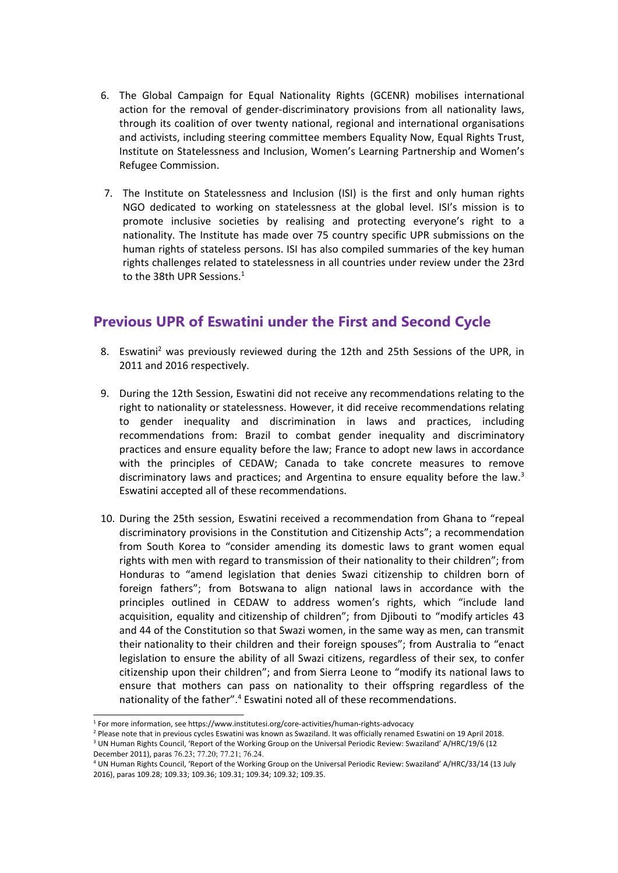- 6. The Global Campaign for Equal Nationality Rights (GCENR) mobilises international action for the removal of gender-discriminatory provisions from all nationality laws, through its coalition of over twenty national, regional and international organisations and activists, including steering committee members Equality Now, Equal Rights Trust, Institute on Statelessness and Inclusion, Women'<sup>s</sup> Learning Partnership and Women'<sup>s</sup> Refugee Commission.
- 7. The Institute on Statelessness and Inclusion (ISI) is the first and only human rights NGO dedicated to working on statelessness at the global level. ISI'<sup>s</sup> mission is to promote inclusive societies by realising and protecting everyone'<sup>s</sup> right to <sup>a</sup> nationality. The Institute has made over 75 country specific UPR submissions on the human rights of stateless persons. ISI has also compiled summaries of the key human rights challenges related to statelessness in all countries under review under the 23rd to the 38th UPR Sessions. 1

# **Previous UPR of Eswatini under the First and Second Cycle**

- 8. Eswatini<sup>2</sup> was previously reviewed during the 12th and 25th Sessions of the UPR, in 2011 and 2016 respectively.
- 9. During the 12th Session, Eswatini did not receive any recommendations relating to the right to nationality or statelessness. However, it did receive recommendations relating to gender inequality and discrimination in laws and practices, including recommendations from: Brazil to combat gender inequality and discriminatory practices and ensure equality before the law; France to adopt new laws in accordance with the principles of CEDAW; Canada to take concrete measures to remove discriminatory laws and practices; and Argentina to ensure equality before the law.<sup>3</sup> Eswatini accepted all of these recommendations.
- 10. During the 25th session, Eswatini received <sup>a</sup> recommendation from Ghana to "repeal discriminatory provisions in the Constitution and Citizenship Acts"; <sup>a</sup> recommendation from South Korea to "consider amending its domestic laws to grant women equal rights with men with regard to transmission of their nationality to their children"; from Honduras to "amend legislation that denies Swazi citizenship to children born of foreign fathers"; from Botswana to align national laws in accordance with the principles outlined in CEDAW to address women'<sup>s</sup> rights, which "include land acquisition, equality and citizenship of children"; from Djibouti to "modify articles 43 and 44 of the Constitution so that Swazi women, in the same way as men, can transmit their nationality to their children and their foreign spouses"; from Australia to "enact legislation to ensure the ability of all Swazi citizens, regardless of their sex, to confer citizenship upon their children"; and from Sierra Leone to "modify its national laws to ensure that mothers can pass on nationality to their offspring regardless of the nationality of the father".<sup>4</sup> Eswatini noted all of these recommendations.

<sup>1</sup> For more information, see https://www.institutesi.org/core-activities/human-rights-advocacy

<sup>2</sup> Please note that in previous cycles Eswatini was known as Swaziland. It was officially renamed Eswatini on 19 April 2018.

<sup>&</sup>lt;sup>3</sup> UN Human Rights Council, 'Report of the Working Group on the Universal Periodic Review: Swaziland' A/HRC/19/6 (12 December 2011), paras 76.23; 77.20; 77.21; 76.24.

<sup>4</sup> UN Human Rights Council, 'Report of the Working Group on the Universal Periodic Review: Swaziland' A/HRC/33/14 (13 July 2016), paras 109.28; 109.33; 109.36; 109.31; 109.34; 109.32; 109.35.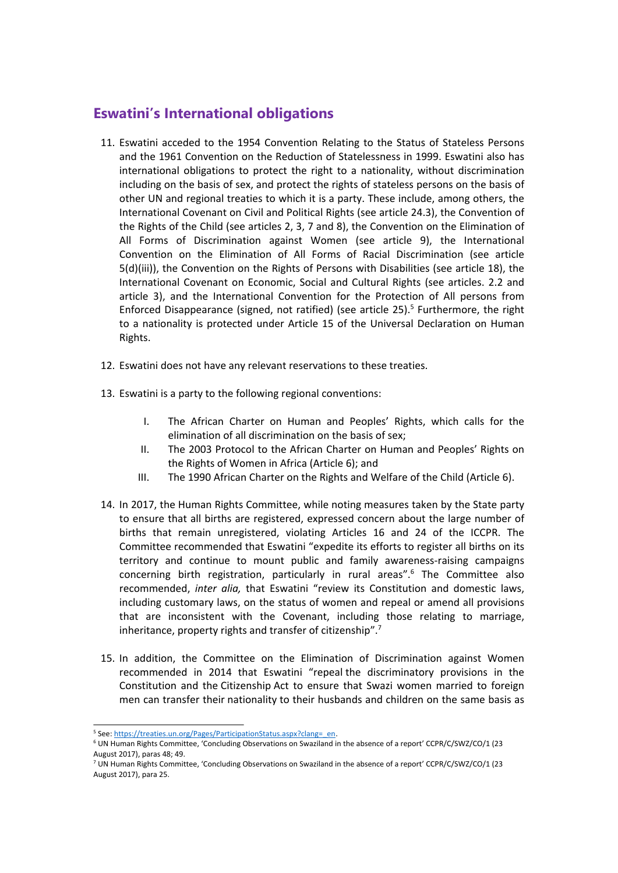### **Eswatini'<sup>s</sup> International obligations**

- 11. Eswatini acceded to the 1954 Convention Relating to the Status of Stateless Persons and the 1961 Convention on the Reduction of Statelessness in 1999. Eswatini also has international obligations to protect the right to <sup>a</sup> nationality, without discrimination including on the basis of sex, and protect the rights of stateless persons on the basis of other UN and regional treaties to which it is <sup>a</sup> party. These include, among others, the International Covenant on Civil and Political Rights (see article 24.3), the Convention of the Rights of the Child (see articles 2, 3, 7 and 8), the Convention on the Elimination of All Forms of Discrimination against Women (see article 9), the International Convention on the Elimination of All Forms of Racial Discrimination (see article 5(d)(iii)), the Convention on the Rights of Persons with Disabilities (see article 18), the International Covenant on Economic, Social and Cultural Rights (see articles. 2.2 and article 3), and the International Convention for the Protection of All persons from Enforced Disappearance (signed, not ratified) (see article 25). 5 Furthermore, the right to <sup>a</sup> nationality is protected under Article 15 of the Universal Declaration on Human Rights.
- 12. Eswatini does not have any relevant reservations to these treaties.
- 13. Eswatini is <sup>a</sup> party to the following regional conventions:
	- I. The African Charter on Human and Peoples' Rights, which calls for the elimination of all discrimination on the basis of sex;
	- II. The 2003 Protocol to the African Charter on Human and Peoples' Rights on the Rights of Women in Africa (Article 6); and
	- III. The 1990 African Charter on the Rights and Welfare of the Child (Article 6).
- 14. In 2017, the Human Rights Committee, while noting measures taken by the State party to ensure that all births are registered, expressed concern about the large number of births that remain unregistered, violating Articles 16 and 24 of the ICCPR. The Committee recommended that Eswatini "expedite its efforts to register all births on its territory and continue to mount public and family awareness-raising campaigns concerning birth registration, particularly in rural areas".<sup>6</sup> The Committee also recommended, *inter alia,* that Eswatini "review its Constitution and domestic laws, including customary laws, on the status of women and repeal or amend all provisions that are inconsistent with the Covenant, including those relating to marriage, inheritance, property rights and transfer of citizenship".<sup>7</sup>
- 15. In addition, the Committee on the Elimination of Discrimination against Women recommended in 2014 that Eswatini "repeal the discriminatory provisions in the Constitution and the Citizenship Act to ensure that Swazi women married to foreign men can transfer their nationality to their husbands and children on the same basis as

<sup>&</sup>lt;sup>5</sup> See: [https://treaties.un.org/Pages/ParticipationStatus.aspx?clang=\\_en](https://treaties.un.org/Pages/ParticipationStatus.aspx?clang=_en).

<sup>6</sup> UN Human Rights Committee, 'Concluding Observations on Swaziland in the absence of <sup>a</sup> report' CCPR/C/SWZ/CO/1 (23 August 2017), paras 48; 49.

<sup>7</sup> UN Human Rights Committee, 'Concluding Observations on Swaziland in the absence of <sup>a</sup> report' CCPR/C/SWZ/CO/1 (23 August 2017), para 25.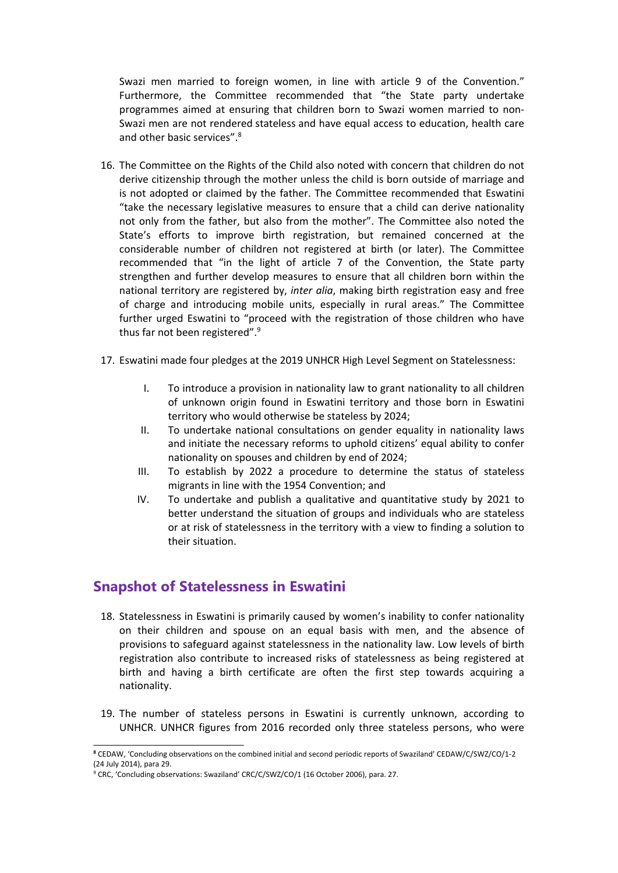Swazi men married to foreign women, in line with article 9 of the Convention." Furthermore, the Committee recommended that "the State party undertake programmes aimed at ensuring that children born to Swazi women married to non-Swazi men are not rendered stateless and have equal access to education, health care and other basic services".<sup>8</sup>

- 16. The Committee on the Rights of the Child also noted with concern that children do not derive citizenship through the mother unless the child is born outside of marriage and is not adopted or claimed by the father. The Committee recommended that Eswatini "take the necessary legislative measures to ensure that <sup>a</sup> child can derive nationality not only from the father, but also from the mother". The Committee also noted the State'<sup>s</sup> efforts to improve birth registration, but remained concerned at the considerable number of children not registered at birth (or later). The Committee recommended that "in the light of article 7 of the Convention, the State party strengthen and further develop measures to ensure that all children born within the national territory are registered by, *inter alia*, making birth registration easy and free of charge and introducing mobile units, especially in rural areas." The Committee further urged Eswatini to "proceed with the registration of those children who have thus far not been registered".<sup>9</sup>
- 17. Eswatini made four pledges at the 2019 UNHCR High Level Segment on Statelessness:
	- I. To introduce <sup>a</sup> provision in nationality law to grant nationality to all children of unknown origin found in Eswatini territory and those born in Eswatini territory who would otherwise be stateless by 2024;
	- II. To undertake national consultations on gender equality in nationality laws and initiate the necessary reforms to uphold citizens' equal ability to confer nationality on spouses and children by end of 2024;
	- III. To establish by 2022 <sup>a</sup> procedure to determine the status of stateless migrants in line with the 1954 Convention; and
	- IV. To undertake and publish <sup>a</sup> qualitative and quantitative study by 2021 to better understand the situation of groups and individuals who are stateless or at risk of statelessness in the territory with <sup>a</sup> view to finding <sup>a</sup> solution to their situation.

#### **Snapshot of Statelessness in Eswatini**

- 18. Statelessness in Eswatini is primarily caused by women'<sup>s</sup> inability to confer nationality on their children and spouse on an equal basis with men, and the absence of provisions to safeguard against statelessness in the nationality law. Low levels of birth registration also contribute to increased risks of statelessness as being registered at birth and having <sup>a</sup> birth certificate are often the first step towards acquiring <sup>a</sup> nationality.
- 19. The number of stateless persons in Eswatini is currently unknown, according to UNHCR. UNHCR figures from 2016 recorded only three stateless persons, who were

**<sup>8</sup>** CEDAW, 'Concluding observations on the combined initial and second periodic reports of Swaziland' CEDAW/C/SWZ/CO/1-2 (24 July 2014), para 29.

<sup>&</sup>lt;sup>9</sup> CRC, 'Concluding observations: Swaziland' CRC/C/SWZ/CO/1 (16 October 2006), para. 27.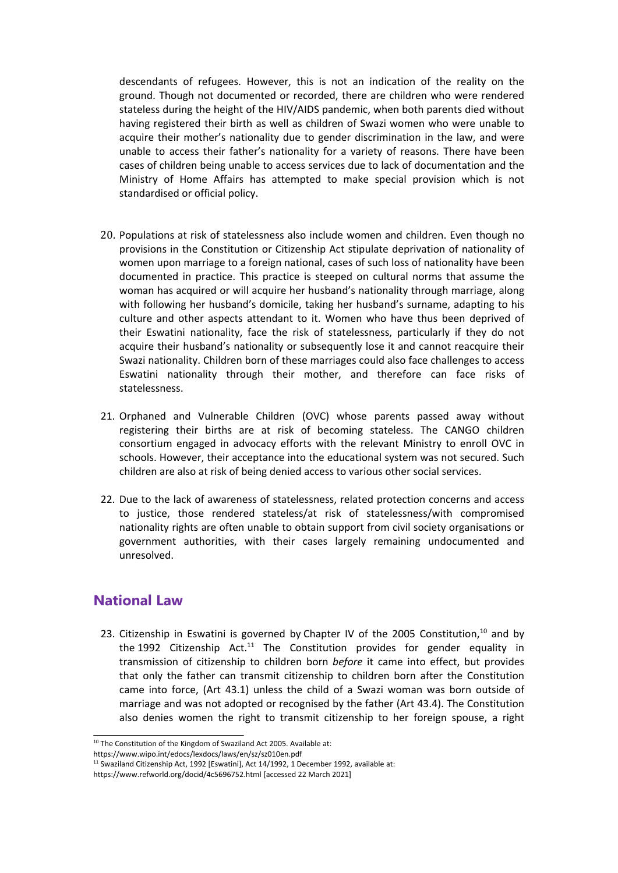descendants of refugees. However, this is not an indication of the reality on the ground. Though not documented or recorded, there are children who were rendered stateless during the height of the HIV/AIDS pandemic, when both parents died without having registered their birth as well as children of Swazi women who were unable to acquire their mother'<sup>s</sup> nationality due to gender discrimination in the law, and were unable to access their father'<sup>s</sup> nationality for <sup>a</sup> variety of reasons. There have been cases of children being unable to access services due to lack of documentation and the Ministry of Home Affairs has attempted to make special provision which is not standardised or official policy.

- 20. Populations at risk of statelessness also include women and children. Even though no provisions in the Constitution or Citizenship Act stipulate deprivation of nationality of women upon marriage to <sup>a</sup> foreign national, cases of such loss of nationality have been documented in practice. This practice is steeped on cultural norms that assume the woman has acquired or will acquire her husband'<sup>s</sup> nationality through marriage, along with following her husband'<sup>s</sup> domicile, taking her husband'<sup>s</sup> surname, adapting to his culture and other aspects attendant to it. Women who have thus been deprived of their Eswatini nationality, face the risk of statelessness, particularly if they do not acquire their husband'<sup>s</sup> nationality or subsequently lose it and cannot reacquire their Swazi nationality. Children born of these marriages could also face challenges to access Eswatini nationality through their mother, and therefore can face risks of statelessness.
- 21. Orphaned and Vulnerable Children (OVC) whose parents passed away without registering their births are at risk of becoming stateless. The CANGO children consortium engaged in advocacy efforts with the relevant Ministry to enroll OVC in schools. However, their acceptance into the educational system was not secured. Such children are also at risk of being denied access to various other social services.
- 22. Due to the lack of awareness of statelessness, related protection concerns and access to justice, those rendered stateless/at risk of statelessness/with compromised nationality rights are often unable to obtain support from civil society organisations or government authorities, with their cases largely remaining undocumented and unresolved.

#### **National Law**

23. Citizenship in Eswatini is governed by Chapter IV of the 2005 Constitution,<sup>10</sup> and by the 1992 Citizenship Act.<sup>11</sup> The Constitution provides for gender equality in transmission of citizenship to children born *before* it came into effect, but provides that only the father can transmit citizenship to children born after the Constitution came into force, (Art 43.1) unless the child of <sup>a</sup> Swazi woman was born outside of marriage and was not adopted or recognised by the father (Art 43.4). The Constitution also denies women the right to transmit citizenship to her foreign spouse, <sup>a</sup> right

<sup>&</sup>lt;sup>10</sup> The Constitution of the Kingdom of Swaziland Act 2005. Available at:

https://www.wipo.int/edocs/lexdocs/laws/en/sz/sz010en.pdf

<sup>&</sup>lt;sup>11</sup> Swaziland Citizenship Act, 1992 [Eswatini], Act 14/1992, 1 December 1992, available at:

https://www.refworld.org/docid/4c5696752.html [accessed 22 March 2021]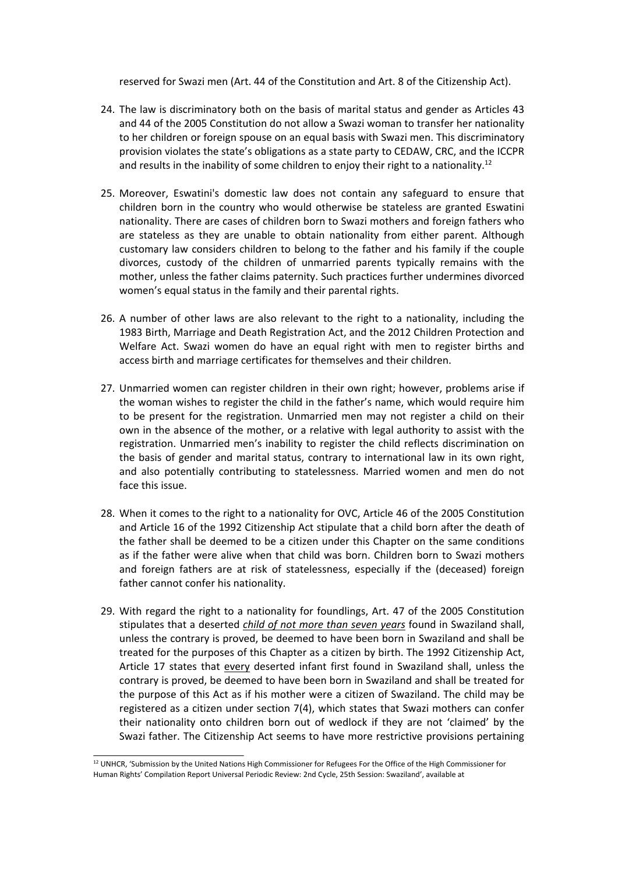reserved for Swazi men (Art. 44 of the Constitution and Art. 8 of the Citizenship Act).

- 24. The law is discriminatory both on the basis of marital status and gender as Articles 43 and 44 of the 2005 Constitution do not allow <sup>a</sup> Swazi woman to transfer her nationality to her children or foreign spouse on an equal basis with Swazi men. This discriminatory provision violates the state'<sup>s</sup> obligations as <sup>a</sup> state party to CEDAW, CRC, and the ICCPR and results in the inability of some children to enjoy their right to a nationality.<sup>12</sup>
- 25. Moreover, Eswatini's domestic law does not contain any safeguard to ensure that children born in the country who would otherwise be stateless are granted Eswatini nationality. There are cases of children born to Swazi mothers and foreign fathers who are stateless as they are unable to obtain nationality from either parent. Although customary law considers children to belong to the father and his family if the couple divorces, custody of the children of unmarried parents typically remains with the mother, unless the father claims paternity. Such practices further undermines divorced women'<sup>s</sup> equal status in the family and their parental rights.
- 26. A number of other laws are also relevant to the right to <sup>a</sup> nationality, including the 1983 Birth, Marriage and Death Registration Act, and the 2012 Children Protection and Welfare Act. Swazi women do have an equal right with men to register births and access birth and marriage certificates for themselves and their children.
- 27. Unmarried women can register children in their own right; however, problems arise if the woman wishes to register the child in the father'<sup>s</sup> name, which would require him to be present for the registration. Unmarried men may not register <sup>a</sup> child on their own in the absence of the mother, or <sup>a</sup> relative with legal authority to assist with the registration. Unmarried men'<sup>s</sup> inability to register the child reflects discrimination on the basis of gender and marital status, contrary to international law in its own right, and also potentially contributing to statelessness. Married women and men do not face this issue.
- 28. When it comes to the right to <sup>a</sup> nationality for OVC, Article 46 of the 2005 Constitution and Article 16 of the 1992 Citizenship Act stipulate that <sup>a</sup> child born after the death of the father shall be deemed to be <sup>a</sup> citizen under this Chapter on the same conditions as if the father were alive when that child was born. Children born to Swazi mothers and foreign fathers are at risk of statelessness, especially if the (deceased) foreign father cannot confer his nationality.
- 29. With regard the right to <sup>a</sup> nationality for foundlings, Art. 47 of the 2005 Constitution stipulates that <sup>a</sup> deserted *child of not more than seven years* found in Swaziland shall, unless the contrary is proved, be deemed to have been born in Swaziland and shall be treated for the purposes of this Chapter as <sup>a</sup> citizen by birth. The 1992 Citizenship Act, Article 17 states that every deserted infant first found in Swaziland shall, unless the contrary is proved, be deemed to have been born in Swaziland and shall be treated for the purpose of this Act as if his mother were <sup>a</sup> citizen of Swaziland. The child may be registered as <sup>a</sup> citizen under section 7(4), which states that Swazi mothers can confer their nationality onto children born out of wedlock if they are not 'claimed' by the Swazi father. The Citizenship Act seems to have more restrictive provisions pertaining

 $12$  UNHCR, 'Submission by the United Nations High Commissioner for Refugees For the Office of the High Commissioner for Human Rights' Compilation Report Universal Periodic Review: 2nd Cycle, 25th Session: Swaziland', available at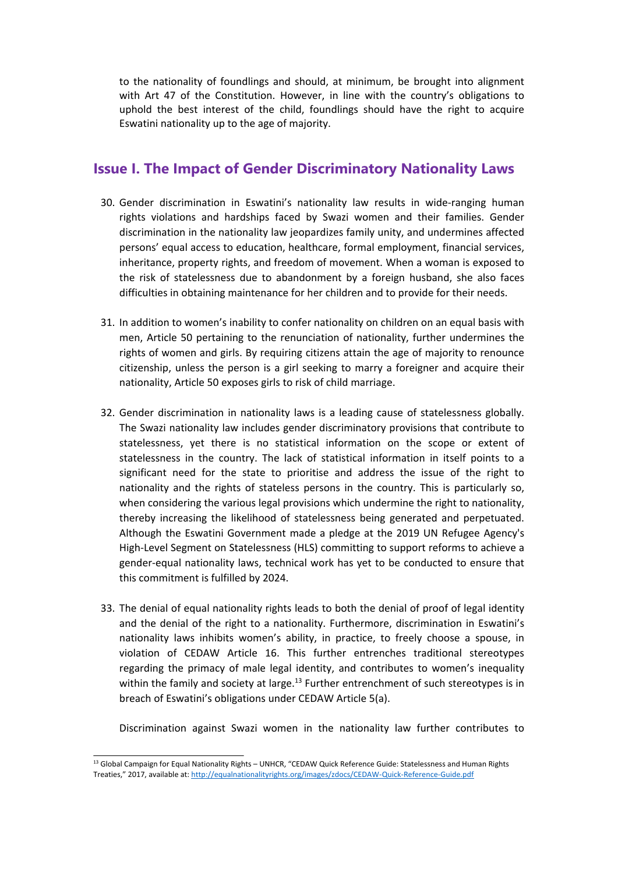to the nationality of foundlings and should, at minimum, be brought into alignment with Art 47 of the Constitution. However, in line with the country'<sup>s</sup> obligations to uphold the best interest of the child, foundlings should have the right to acquire Eswatini nationality up to the age of majority.

#### **Issue I. The Impact of Gender Discriminatory Nationality Laws**

- 30. Gender discrimination in Eswatini'<sup>s</sup> nationality law results in wide-ranging human rights violations and hardships faced by Swazi women and their families. Gender discrimination in the nationality law jeopardizes family unity, and undermines affected persons' equal access to education, healthcare, formal employment, financial services, inheritance, property rights, and freedom of movement. When <sup>a</sup> woman is exposed to the risk of statelessness due to abandonment by <sup>a</sup> foreign husband, she also faces difficulties in obtaining maintenance for her children and to provide for their needs.
- 31. In addition to women'<sup>s</sup> inability to confer nationality on children on an equal basis with men, Article 50 pertaining to the renunciation of nationality, further undermines the rights of women and girls. By requiring citizens attain the age of majority to renounce citizenship, unless the person is <sup>a</sup> girl seeking to marry <sup>a</sup> foreigner and acquire their nationality, Article 50 exposes girls to risk of child marriage.
- 32. Gender discrimination in nationality laws is <sup>a</sup> leading cause of statelessness globally. The Swazi nationality law includes gender discriminatory provisions that contribute to statelessness, yet there is no statistical information on the scope or extent of statelessness in the country. The lack of statistical information in itself points to <sup>a</sup> significant need for the state to prioritise and address the issue of the right to nationality and the rights of stateless persons in the country. This is particularly so, when considering the various legal provisions which undermine the right to nationality, thereby increasing the likelihood of statelessness being generated and perpetuated. Although the Eswatini Government made <sup>a</sup> pledge at the 2019 UN Refugee Agency's High-Level Segment on Statelessness (HLS) committing to support reforms to achieve <sup>a</sup> gender-equal nationality laws, technical work has yet to be conducted to ensure that this commitment is fulfilled by 2024.
- 33. The denial of equal nationality rights leads to both the denial of proof of legal identity and the denial of the right to <sup>a</sup> nationality. Furthermore, discrimination in Eswatini'<sup>s</sup> nationality laws inhibits women'<sup>s</sup> ability, in practice, to freely choose <sup>a</sup> spouse, in violation of CEDAW Article 16. This further entrenches traditional stereotypes regarding the primacy of male legal identity, and contributes to women'<sup>s</sup> inequality within the family and society at large.<sup>13</sup> Further entrenchment of such stereotypes is in breach of Eswatini'<sup>s</sup> obligations under CEDAW Article 5(a).

Discrimination against Swazi women in the nationality law further contributes to

<sup>&</sup>lt;sup>13</sup> Global Campaign for Equal Nationality Rights – UNHCR, "CEDAW Quick Reference Guide: Statelessness and Human Rights Treaties," 2017, available at: <http://equalnationalityrights.org/images/zdocs/CEDAW-Quick-Reference-Guide.pdf>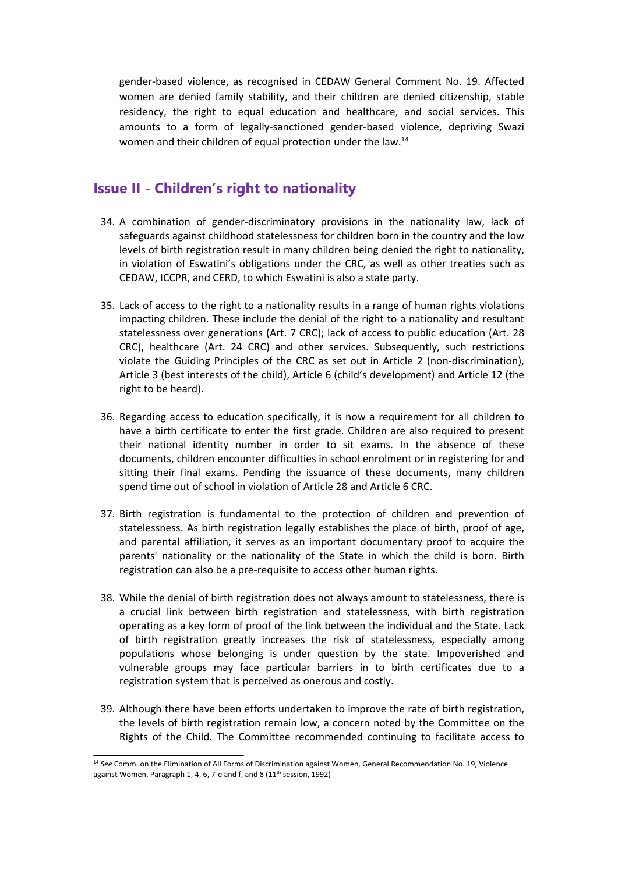gender-based violence, as recognised in CEDAW General Comment No. 19. Affected women are denied family stability, and their children are denied citizenship, stable residency, the right to equal education and healthcare, and social services. This amounts to <sup>a</sup> form of legally-sanctioned gender-based violence, depriving Swazi women and their children of equal protection under the law.<sup>14</sup>

#### **Issue II - Children'<sup>s</sup> right to nationality**

- 34. A combination of gender-discriminatory provisions in the nationality law, lack of safeguards against childhood statelessness for children born in the country and the low levels of birth registration result in many children being denied the right to nationality, in violation of Eswatini'<sup>s</sup> obligations under the CRC, as well as other treaties such as CEDAW, ICCPR, and CERD, to which Eswatini is also <sup>a</sup> state party.
- 35. Lack of access to the right to <sup>a</sup> nationality results in <sup>a</sup> range of human rights violations impacting children. These include the denial of the right to <sup>a</sup> nationality and resultant statelessness over generations (Art. 7 CRC); lack of access to public education (Art. 28 CRC), healthcare (Art. 24 CRC) and other services. Subsequently, such restrictions violate the Guiding Principles of the CRC as set out in Article 2 (non-discrimination), Article 3 (best interests of the child), Article 6 (child'<sup>s</sup> development) and Article 12 (the right to be heard).
- 36. Regarding access to education specifically, it is now <sup>a</sup> requirement for all children to have <sup>a</sup> birth certificate to enter the first grade. Children are also required to present their national identity number in order to sit exams. In the absence of these documents, children encounter difficulties in school enrolment or in registering for and sitting their final exams. Pending the issuance of these documents, many children spend time out of school in violation of Article 28 and Article 6 CRC.
- 37. Birth registration is fundamental to the protection of children and prevention of statelessness. As birth registration legally establishes the place of birth, proof of age, and parental affiliation, it serves as an important documentary proof to acquire the parents' nationality or the nationality of the State in which the child is born. Birth registration can also be <sup>a</sup> pre-requisite to access other human rights.
- 38. While the denial of birth registration does not always amount to statelessness, there is <sup>a</sup> crucial link between birth registration and statelessness, with birth registration operating as <sup>a</sup> key form of proof of the link between the individual and the State. Lack of birth registration greatly increases the risk of statelessness, especially among populations whose belonging is under question by the state. Impoverished and vulnerable groups may face particular barriers in to birth certificates due to <sup>a</sup> registration system that is perceived as onerous and costly.
- 39. Although there have been efforts undertaken to improve the rate of birth registration, the levels of birth registration remain low, <sup>a</sup> concern noted by the Committee on the Rights of the Child. The Committee recommended continuing to facilitate access to

<sup>&</sup>lt;sup>14</sup> See Comm. on the Elimination of All Forms of Discrimination against Women, General Recommendation No. 19, Violence against Women, Paragraph 1, 4, 6, 7-e and f, and 8 (11<sup>th</sup> session, 1992)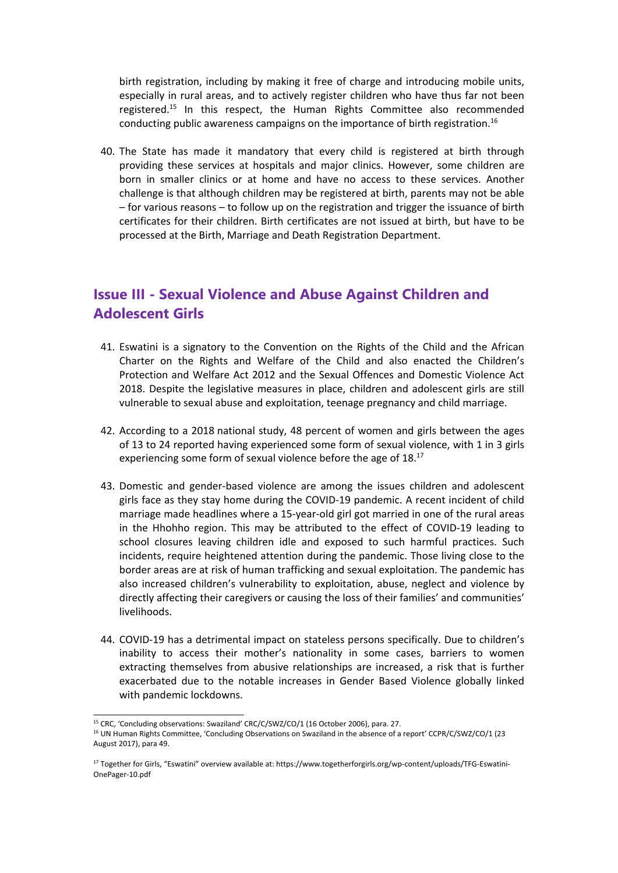birth registration, including by making it free of charge and introducing mobile units, especially in rural areas, and to actively register children who have thus far not been registered.<sup>15</sup> In this respect, the Human Rights Committee also recommended conducting public awareness campaigns on the importance of birth registration.<sup>16</sup>

40. The State has made it mandatory that every child is registered at birth through providing these services at hospitals and major clinics. However, some children are born in smaller clinics or at home and have no access to these services. Another challenge is that although children may be registered at birth, parents may not be able – for various reasons – to follow up on the registration and trigger the issuance of birth certificates for their children. Birth certificates are not issued at birth, but have to be processed at the Birth, Marriage and Death Registration Department.

# **Issue III - Sexual Violence and Abuse Against Children and Adolescent Girls**

- 41. Eswatini is <sup>a</sup> signatory to the Convention on the Rights of the Child and the African Charter on the Rights and Welfare of the Child and also enacted the Children'<sup>s</sup> Protection and Welfare Act 2012 and the Sexual Offences and Domestic Violence Act 2018. Despite the legislative measures in place, children and adolescent girls are still vulnerable to sexual abuse and exploitation, teenage pregnancy and child marriage.
- 42. According to <sup>a</sup> 2018 national study, 48 percent of women and girls between the ages of 13 to 24 reported having experienced some form of sexual violence, with 1 in 3 girls experiencing some form of sexual violence before the age of 18. $^{17}$
- 43. Domestic and gender-based violence are among the issues children and adolescent girls face as they stay home during the COVID-19 pandemic. A recent incident of child marriage made headlines where <sup>a</sup> 15-year-old girl got married in one of the rural areas in the Hhohho region. This may be attributed to the effect of COVID-19 leading to school closures leaving children idle and exposed to such harmful practices. Such incidents, require heightened attention during the pandemic. Those living close to the border areas are at risk of human trafficking and sexual exploitation. The pandemic has also increased children'<sup>s</sup> vulnerability to exploitation, abuse, neglect and violence by directly affecting their caregivers or causing the loss of their families' and communities' livelihoods.
- 44. COVID-19 has <sup>a</sup> detrimental impact on stateless persons specifically. Due to children'<sup>s</sup> inability to access their mother'<sup>s</sup> nationality in some cases, barriers to women extracting themselves from abusive relationships are increased, <sup>a</sup> risk that is further exacerbated due to the notable increases in Gender Based Violence globally linked with pandemic lockdowns.

<sup>&</sup>lt;sup>15</sup> CRC, 'Concluding observations: Swaziland' CRC/C/SWZ/CO/1 (16 October 2006), para. 27.

<sup>&</sup>lt;sup>16</sup> UN Human Rights Committee, 'Concluding Observations on Swaziland in the absence of a report' CCPR/C/SWZ/CO/1 (23 August 2017), para 49.

<sup>17</sup> Together for Girls, "Eswatini" overview available at: https://www.togetherforgirls.org/wp-content/uploads/TFG-Eswatini-OnePager-10.pdf